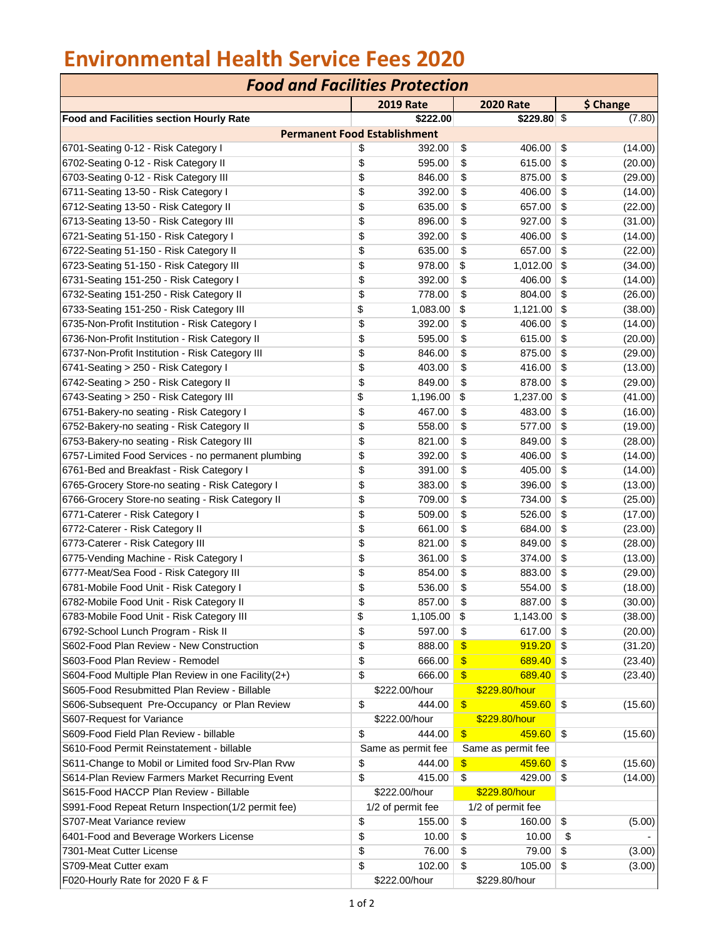## **Environmental Health Service Fees 2020**

| <b>Food and Facilities Protection</b>              |    |                    |                           |                    |    |           |  |  |  |  |
|----------------------------------------------------|----|--------------------|---------------------------|--------------------|----|-----------|--|--|--|--|
|                                                    |    | <b>2019 Rate</b>   |                           | <b>2020 Rate</b>   |    | \$ Change |  |  |  |  |
| Food and Facilities section Hourly Rate            |    | \$222.00           |                           | \$229.80 \$        |    | (7.80)    |  |  |  |  |
| <b>Permanent Food Establishment</b>                |    |                    |                           |                    |    |           |  |  |  |  |
| 6701-Seating 0-12 - Risk Category I                | \$ | 392.00             | \$                        | 406.00             | \$ | (14.00)   |  |  |  |  |
| 6702-Seating 0-12 - Risk Category II               | \$ | 595.00             | \$                        | 615.00             | \$ | (20.00)   |  |  |  |  |
| 6703-Seating 0-12 - Risk Category III              | \$ | 846.00             | \$                        | 875.00             | \$ | (29.00)   |  |  |  |  |
| 6711-Seating 13-50 - Risk Category I               | \$ | 392.00             | \$                        | 406.00             | \$ | (14.00)   |  |  |  |  |
| 6712-Seating 13-50 - Risk Category II              | \$ | 635.00             | \$                        | 657.00             | \$ | (22.00)   |  |  |  |  |
| 6713-Seating 13-50 - Risk Category III             | \$ | 896.00             | \$                        | 927.00             | \$ | (31.00)   |  |  |  |  |
| 6721-Seating 51-150 - Risk Category I              | \$ | 392.00             | \$                        | 406.00             | \$ | (14.00)   |  |  |  |  |
| 6722-Seating 51-150 - Risk Category II             | \$ | 635.00             | \$                        | 657.00             | \$ | (22.00)   |  |  |  |  |
| 6723-Seating 51-150 - Risk Category III            | \$ | 978.00             | \$                        | 1,012.00           | \$ | (34.00)   |  |  |  |  |
| 6731-Seating 151-250 - Risk Category I             | \$ | 392.00             | \$                        | 406.00             | \$ | (14.00)   |  |  |  |  |
| 6732-Seating 151-250 - Risk Category II            | \$ | 778.00             | \$                        | 804.00             | \$ | (26.00)   |  |  |  |  |
| 6733-Seating 151-250 - Risk Category III           | \$ | 1,083.00           | \$                        | 1,121.00           | \$ | (38.00)   |  |  |  |  |
| 6735-Non-Profit Institution - Risk Category I      | \$ | 392.00             | \$                        | 406.00             | \$ | (14.00)   |  |  |  |  |
| 6736-Non-Profit Institution - Risk Category II     | \$ | 595.00             | \$                        | 615.00             | \$ | (20.00)   |  |  |  |  |
| 6737-Non-Profit Institution - Risk Category III    | \$ | 846.00             | \$                        | 875.00             | \$ | (29.00)   |  |  |  |  |
| 6741-Seating > 250 - Risk Category I               | \$ | 403.00             | \$                        | 416.00             | \$ | (13.00)   |  |  |  |  |
| 6742-Seating > 250 - Risk Category II              | \$ | 849.00             | \$                        | 878.00             | \$ | (29.00)   |  |  |  |  |
| 6743-Seating > 250 - Risk Category III             | \$ | 1,196.00           | \$                        | 1,237.00           | \$ | (41.00)   |  |  |  |  |
| 6751-Bakery-no seating - Risk Category I           | \$ | 467.00             | \$                        | 483.00             | \$ | (16.00)   |  |  |  |  |
| 6752-Bakery-no seating - Risk Category II          | \$ | 558.00             | \$                        | 577.00             | \$ | (19.00)   |  |  |  |  |
| 6753-Bakery-no seating - Risk Category III         | \$ | 821.00             | \$                        | 849.00             | \$ | (28.00)   |  |  |  |  |
| 6757-Limited Food Services - no permanent plumbing | \$ | 392.00             | \$                        | 406.00             | \$ | (14.00)   |  |  |  |  |
| 6761-Bed and Breakfast - Risk Category I           | \$ | 391.00             | \$                        | 405.00             | \$ | (14.00)   |  |  |  |  |
| 6765-Grocery Store-no seating - Risk Category I    | \$ | 383.00             | \$                        | 396.00             | \$ | (13.00)   |  |  |  |  |
| 6766-Grocery Store-no seating - Risk Category II   | \$ | 709.00             | \$                        | 734.00             | \$ | (25.00)   |  |  |  |  |
| 6771-Caterer - Risk Category I                     | \$ | 509.00             | \$                        | 526.00             | \$ | (17.00)   |  |  |  |  |
| 6772-Caterer - Risk Category II                    | \$ | 661.00             | \$                        | 684.00             | \$ | (23.00)   |  |  |  |  |
| 6773-Caterer - Risk Category III                   | \$ | 821.00             | \$                        | 849.00             | \$ | (28.00)   |  |  |  |  |
| 6775-Vending Machine - Risk Category I             | \$ | 361.00             | \$                        | 374.00             | \$ | (13.00)   |  |  |  |  |
| 6777-Meat/Sea Food - Risk Category III             | \$ | 854.00             | \$                        | 883.00             | \$ | (29.00)   |  |  |  |  |
| 6781-Mobile Food Unit - Risk Category I            | \$ | 536.00             | \$                        | 554.00             | \$ | (18.00)   |  |  |  |  |
| 6782-Mobile Food Unit - Risk Category II           | \$ | 857.00             | \$                        | 887.00             | \$ | (30.00)   |  |  |  |  |
| 6783-Mobile Food Unit - Risk Category III          | \$ | 1,105.00           | \$                        | 1,143.00           | \$ | (38.00)   |  |  |  |  |
| 6792-School Lunch Program - Risk II                | \$ | 597.00             | \$                        | 617.00             | \$ | (20.00)   |  |  |  |  |
| S602-Food Plan Review - New Construction           | \$ | 888.00             | $\boldsymbol{\mathsf{s}}$ | 919.20             | \$ | (31.20)   |  |  |  |  |
| S603-Food Plan Review - Remodel                    | \$ | 666.00             | $\mathbf{\$}$             | 689.40             | \$ | (23.40)   |  |  |  |  |
| S604-Food Multiple Plan Review in one Facility(2+) | \$ | 666.00             | $\mathbf{\$}$             | 689.40             | \$ | (23.40)   |  |  |  |  |
| S605-Food Resubmitted Plan Review - Billable       |    | \$222.00/hour      |                           | \$229.80/hour      |    |           |  |  |  |  |
| S606-Subsequent Pre-Occupancy or Plan Review       | \$ | 444.00             | $\sqrt{3}$                | $459.60$ \$        |    | (15.60)   |  |  |  |  |
| S607-Request for Variance                          |    | \$222.00/hour      |                           | \$229.80/hour      |    |           |  |  |  |  |
| S609-Food Field Plan Review - billable             | \$ | 444.00             | $\sqrt{3}$                | $459.60$ \$        |    | (15.60)   |  |  |  |  |
| S610-Food Permit Reinstatement - billable          |    | Same as permit fee |                           | Same as permit fee |    |           |  |  |  |  |
| S611-Change to Mobil or Limited food Srv-Plan Rvw  | \$ | 444.00             | $\mathbf{\$}$             | 459.60             | \$ | (15.60)   |  |  |  |  |
| S614-Plan Review Farmers Market Recurring Event    | \$ | 415.00             | $\sqrt{2}$                | 429.00             | \$ | (14.00)   |  |  |  |  |
| S615-Food HACCP Plan Review - Billable             |    | \$222.00/hour      |                           | \$229.80/hour      |    |           |  |  |  |  |
| S991-Food Repeat Return Inspection(1/2 permit fee) |    | 1/2 of permit fee  |                           | 1/2 of permit fee  |    |           |  |  |  |  |
| S707-Meat Variance review                          | \$ | 155.00             | \$                        | 160.00             | \$ | (5.00)    |  |  |  |  |
| 6401-Food and Beverage Workers License             | \$ | 10.00              | \$                        | 10.00              | \$ |           |  |  |  |  |
| 7301-Meat Cutter License                           | \$ | 76.00              | \$                        | 79.00              | \$ | (3.00)    |  |  |  |  |
| S709-Meat Cutter exam                              | \$ | 102.00             | \$                        | 105.00             | \$ | (3.00)    |  |  |  |  |
| F020-Hourly Rate for 2020 F & F                    |    | \$222.00/hour      |                           | \$229.80/hour      |    |           |  |  |  |  |